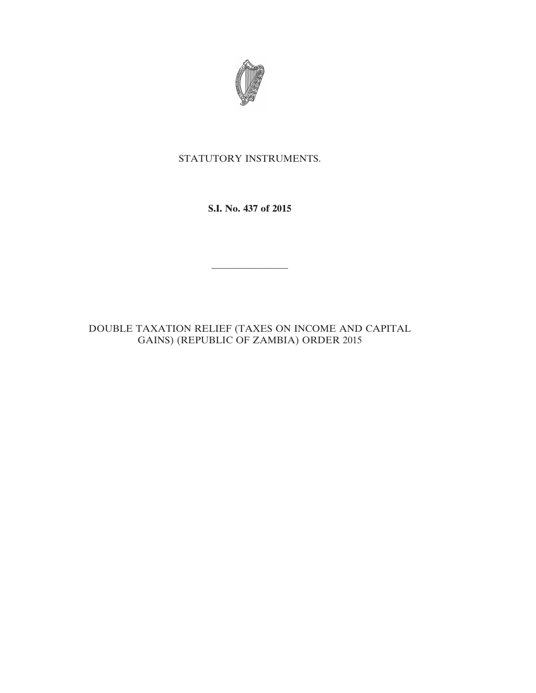

# STATUTORY INSTRUMENTS.

**S.I. No. 437 of 2015**

————————

DOUBLE TAXATION RELIEF (TAXES ON INCOME AND CAPITAL GAINS) (REPUBLIC OF ZAMBIA) ORDER 2015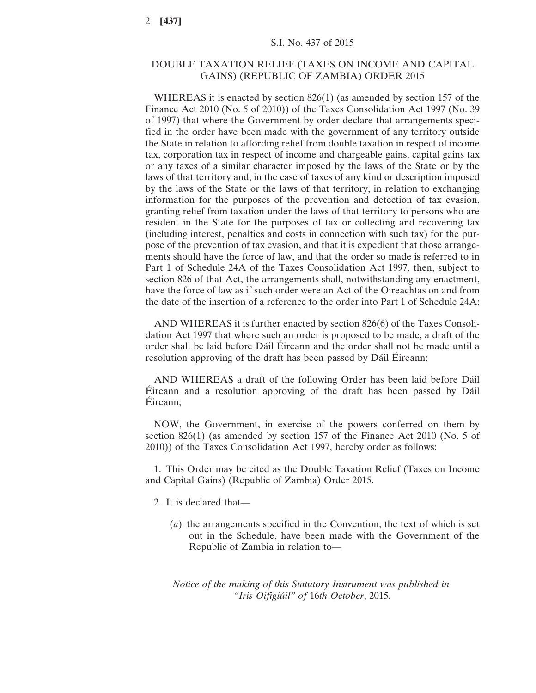# DOUBLE TAXATION RELIEF (TAXES ON INCOME AND CAPITAL GAINS) (REPUBLIC OF ZAMBIA) ORDER 2015

WHEREAS it is enacted by section 826(1) (as amended by section 157 of the Finance Act 2010 (No. 5 of 2010)) of the Taxes Consolidation Act 1997 (No. 39 of 1997) that where the Government by order declare that arrangements specified in the order have been made with the government of any territory outside the State in relation to affording relief from double taxation in respect of income tax, corporation tax in respect of income and chargeable gains, capital gains tax or any taxes of a similar character imposed by the laws of the State or by the laws of that territory and, in the case of taxes of any kind or description imposed by the laws of the State or the laws of that territory, in relation to exchanging information for the purposes of the prevention and detection of tax evasion, granting relief from taxation under the laws of that territory to persons who are resident in the State for the purposes of tax or collecting and recovering tax (including interest, penalties and costs in connection with such tax) for the purpose of the prevention of tax evasion, and that it is expedient that those arrangements should have the force of law, and that the order so made is referred to in Part 1 of Schedule 24A of the Taxes Consolidation Act 1997, then, subject to section 826 of that Act, the arrangements shall, notwithstanding any enactment, have the force of law as if such order were an Act of the Oireachtas on and from the date of the insertion of a reference to the order into Part 1 of Schedule 24A;

AND WHEREAS it is further enacted by section 826(6) of the Taxes Consolidation Act 1997 that where such an order is proposed to be made, a draft of the order shall be laid before Dáil Éireann and the order shall not be made until a resolution approving of the draft has been passed by Dáil Éireann;

AND WHEREAS a draft of the following Order has been laid before Dáil Éireann and a resolution approving of the draft has been passed by Dáil Éireann;

NOW, the Government, in exercise of the powers conferred on them by section 826(1) (as amended by section 157 of the Finance Act 2010 (No. 5 of 2010)) of the Taxes Consolidation Act 1997, hereby order as follows:

1. This Order may be cited as the Double Taxation Relief (Taxes on Income and Capital Gains) (Republic of Zambia) Order 2015.

- 2. It is declared that—
	- (*a*) the arrangements specified in the Convention, the text of which is set out in the Schedule, have been made with the Government of the Republic of Zambia in relation to—

*Notice of the making of this Statutory Instrument was published in "Iris Oifigiúil" of* 16*th October*, 2015.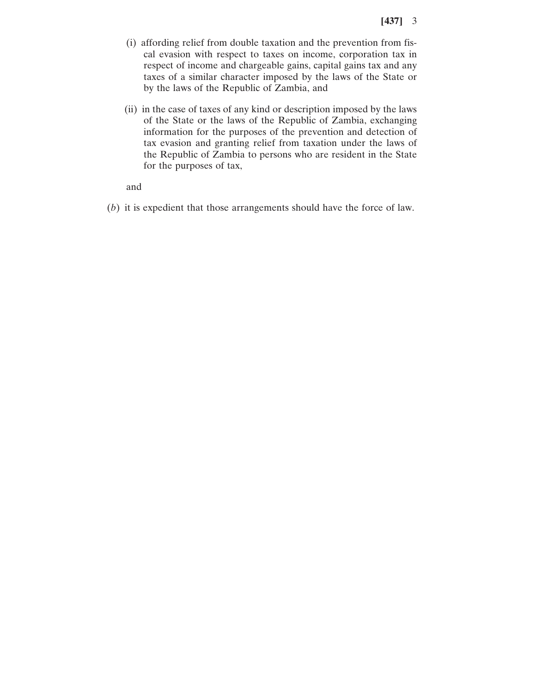- (i) affording relief from double taxation and the prevention from fiscal evasion with respect to taxes on income, corporation tax in respect of income and chargeable gains, capital gains tax and any taxes of a similar character imposed by the laws of the State or by the laws of the Republic of Zambia, and
- (ii) in the case of taxes of any kind or description imposed by the laws of the State or the laws of the Republic of Zambia, exchanging information for the purposes of the prevention and detection of tax evasion and granting relief from taxation under the laws of the Republic of Zambia to persons who are resident in the State for the purposes of tax,

and

(*b*) it is expedient that those arrangements should have the force of law.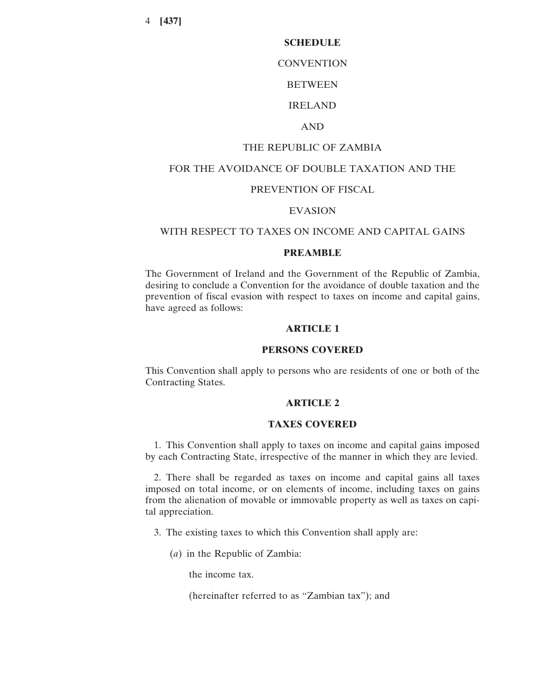#### **SCHEDULE**

# **CONVENTION**

## BETWEEN

# IRELAND

#### AND

## THE REPUBLIC OF ZAMBIA

# FOR THE AVOIDANCE OF DOUBLE TAXATION AND THE

# PREVENTION OF FISCAL

#### EVASION

# WITH RESPECT TO TAXES ON INCOME AND CAPITAL GAINS

# **PREAMBLE**

The Government of Ireland and the Government of the Republic of Zambia, desiring to conclude a Convention for the avoidance of double taxation and the prevention of fiscal evasion with respect to taxes on income and capital gains, have agreed as follows:

# **ARTICLE 1**

#### **PERSONS COVERED**

This Convention shall apply to persons who are residents of one or both of the Contracting States.

#### **ARTICLE 2**

### **TAXES COVERED**

1. This Convention shall apply to taxes on income and capital gains imposed by each Contracting State, irrespective of the manner in which they are levied.

2. There shall be regarded as taxes on income and capital gains all taxes imposed on total income, or on elements of income, including taxes on gains from the alienation of movable or immovable property as well as taxes on capital appreciation.

3. The existing taxes to which this Convention shall apply are:

(*a*) in the Republic of Zambia:

the income tax.

(hereinafter referred to as "Zambian tax"); and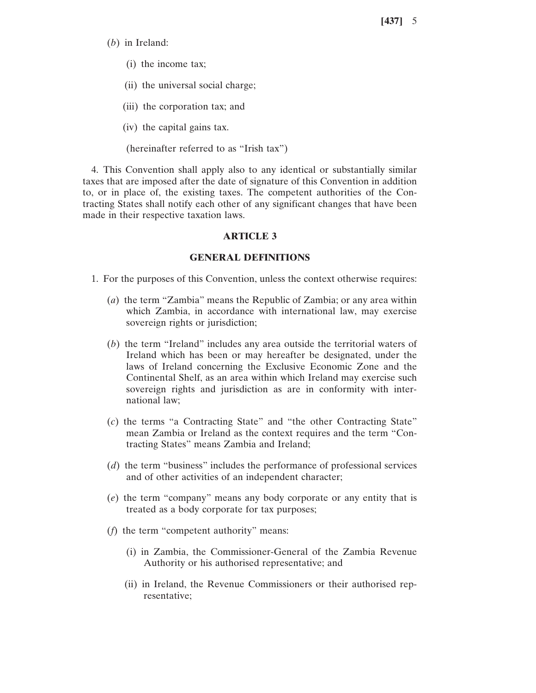- (*b*) in Ireland:
	- (i) the income tax;
	- (ii) the universal social charge;
	- (iii) the corporation tax; and
	- (iv) the capital gains tax.

## (hereinafter referred to as "Irish tax")

4. This Convention shall apply also to any identical or substantially similar taxes that are imposed after the date of signature of this Convention in addition to, or in place of, the existing taxes. The competent authorities of the Contracting States shall notify each other of any significant changes that have been made in their respective taxation laws.

## **ARTICLE 3**

## **GENERAL DEFINITIONS**

1. For the purposes of this Convention, unless the context otherwise requires:

- (*a*) the term "Zambia" means the Republic of Zambia; or any area within which Zambia, in accordance with international law, may exercise sovereign rights or jurisdiction;
- (*b*) the term "Ireland" includes any area outside the territorial waters of Ireland which has been or may hereafter be designated, under the laws of Ireland concerning the Exclusive Economic Zone and the Continental Shelf, as an area within which Ireland may exercise such sovereign rights and jurisdiction as are in conformity with international law;
- (*c*) the terms "a Contracting State" and "the other Contracting State" mean Zambia or Ireland as the context requires and the term "Contracting States" means Zambia and Ireland;
- (*d*) the term "business" includes the performance of professional services and of other activities of an independent character;
- (*e*) the term "company" means any body corporate or any entity that is treated as a body corporate for tax purposes;
- (*f*) the term "competent authority" means:
	- (i) in Zambia, the Commissioner-General of the Zambia Revenue Authority or his authorised representative; and
	- (ii) in Ireland, the Revenue Commissioners or their authorised representative;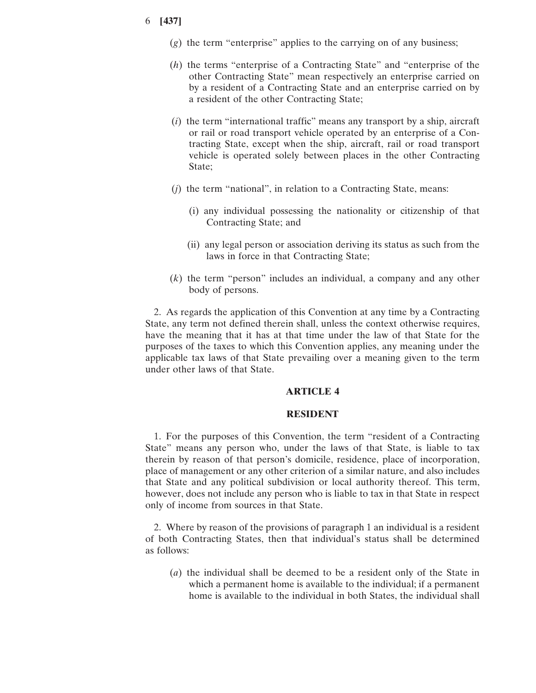- (*g*) the term "enterprise" applies to the carrying on of any business;
- (*h*) the terms "enterprise of a Contracting State" and "enterprise of the other Contracting State" mean respectively an enterprise carried on by a resident of a Contracting State and an enterprise carried on by a resident of the other Contracting State;
- (*i*) the term "international traffic" means any transport by a ship, aircraft or rail or road transport vehicle operated by an enterprise of a Contracting State, except when the ship, aircraft, rail or road transport vehicle is operated solely between places in the other Contracting State;
- (*j*) the term "national", in relation to a Contracting State, means:
	- (i) any individual possessing the nationality or citizenship of that Contracting State; and
	- (ii) any legal person or association deriving its status as such from the laws in force in that Contracting State;
- (*k*) the term "person" includes an individual, a company and any other body of persons.

2. As regards the application of this Convention at any time by a Contracting State, any term not defined therein shall, unless the context otherwise requires, have the meaning that it has at that time under the law of that State for the purposes of the taxes to which this Convention applies, any meaning under the applicable tax laws of that State prevailing over a meaning given to the term under other laws of that State.

# **ARTICLE 4**

## **RESIDENT**

1. For the purposes of this Convention, the term "resident of a Contracting State" means any person who, under the laws of that State, is liable to tax therein by reason of that person's domicile, residence, place of incorporation, place of management or any other criterion of a similar nature, and also includes that State and any political subdivision or local authority thereof. This term, however, does not include any person who is liable to tax in that State in respect only of income from sources in that State.

2. Where by reason of the provisions of paragraph 1 an individual is a resident of both Contracting States, then that individual's status shall be determined as follows:

(*a*) the individual shall be deemed to be a resident only of the State in which a permanent home is available to the individual; if a permanent home is available to the individual in both States, the individual shall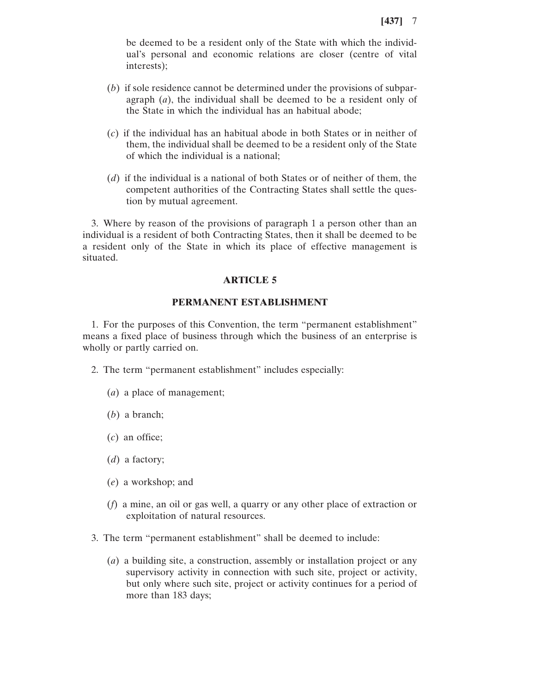be deemed to be a resident only of the State with which the individual's personal and economic relations are closer (centre of vital interests);

- (*b*) if sole residence cannot be determined under the provisions of subparagraph (*a*), the individual shall be deemed to be a resident only of the State in which the individual has an habitual abode;
- (*c*) if the individual has an habitual abode in both States or in neither of them, the individual shall be deemed to be a resident only of the State of which the individual is a national;
- (*d*) if the individual is a national of both States or of neither of them, the competent authorities of the Contracting States shall settle the question by mutual agreement.

3. Where by reason of the provisions of paragraph 1 a person other than an individual is a resident of both Contracting States, then it shall be deemed to be a resident only of the State in which its place of effective management is situated.

# **ARTICLE 5**

# **PERMANENT ESTABLISHMENT**

1. For the purposes of this Convention, the term "permanent establishment" means a fixed place of business through which the business of an enterprise is wholly or partly carried on.

- 2. The term "permanent establishment" includes especially:
	- (*a*) a place of management;
	- (*b*) a branch;
	- (*c*) an office;
	- (*d*) a factory;
	- (*e*) a workshop; and
	- (*f*) a mine, an oil or gas well, a quarry or any other place of extraction or exploitation of natural resources.
- 3. The term "permanent establishment" shall be deemed to include:
	- (*a*) a building site, a construction, assembly or installation project or any supervisory activity in connection with such site, project or activity, but only where such site, project or activity continues for a period of more than 183 days;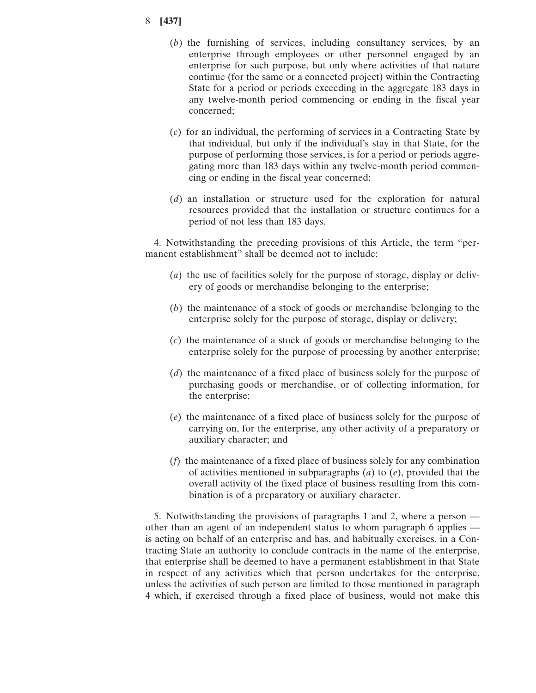- (*b*) the furnishing of services, including consultancy services, by an enterprise through employees or other personnel engaged by an enterprise for such purpose, but only where activities of that nature continue (for the same or a connected project) within the Contracting State for a period or periods exceeding in the aggregate 183 days in any twelve-month period commencing or ending in the fiscal year concerned;
- (*c*) for an individual, the performing of services in a Contracting State by that individual, but only if the individual's stay in that State, for the purpose of performing those services, is for a period or periods aggregating more than 183 days within any twelve-month period commencing or ending in the fiscal year concerned;
- (*d*) an installation or structure used for the exploration for natural resources provided that the installation or structure continues for a period of not less than 183 days.

4. Notwithstanding the preceding provisions of this Article, the term "permanent establishment" shall be deemed not to include:

- (*a*) the use of facilities solely for the purpose of storage, display or delivery of goods or merchandise belonging to the enterprise;
- (*b*) the maintenance of a stock of goods or merchandise belonging to the enterprise solely for the purpose of storage, display or delivery;
- (*c*) the maintenance of a stock of goods or merchandise belonging to the enterprise solely for the purpose of processing by another enterprise;
- (*d*) the maintenance of a fixed place of business solely for the purpose of purchasing goods or merchandise, or of collecting information, for the enterprise;
- (*e*) the maintenance of a fixed place of business solely for the purpose of carrying on, for the enterprise, any other activity of a preparatory or auxiliary character; and
- (*f*) the maintenance of a fixed place of business solely for any combination of activities mentioned in subparagraphs (*a*) to (*e*), provided that the overall activity of the fixed place of business resulting from this combination is of a preparatory or auxiliary character.

5. Notwithstanding the provisions of paragraphs 1 and 2, where a person other than an agent of an independent status to whom paragraph 6 applies is acting on behalf of an enterprise and has, and habitually exercises, in a Contracting State an authority to conclude contracts in the name of the enterprise, that enterprise shall be deemed to have a permanent establishment in that State in respect of any activities which that person undertakes for the enterprise, unless the activities of such person are limited to those mentioned in paragraph 4 which, if exercised through a fixed place of business, would not make this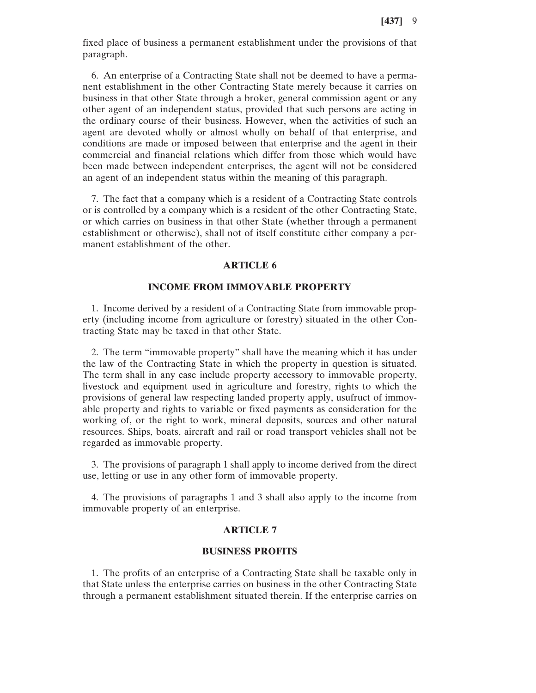fixed place of business a permanent establishment under the provisions of that paragraph.

6. An enterprise of a Contracting State shall not be deemed to have a permanent establishment in the other Contracting State merely because it carries on business in that other State through a broker, general commission agent or any other agent of an independent status, provided that such persons are acting in the ordinary course of their business. However, when the activities of such an agent are devoted wholly or almost wholly on behalf of that enterprise, and conditions are made or imposed between that enterprise and the agent in their commercial and financial relations which differ from those which would have been made between independent enterprises, the agent will not be considered an agent of an independent status within the meaning of this paragraph.

7. The fact that a company which is a resident of a Contracting State controls or is controlled by a company which is a resident of the other Contracting State, or which carries on business in that other State (whether through a permanent establishment or otherwise), shall not of itself constitute either company a permanent establishment of the other.

### **ARTICLE 6**

#### **INCOME FROM IMMOVABLE PROPERTY**

1. Income derived by a resident of a Contracting State from immovable property (including income from agriculture or forestry) situated in the other Contracting State may be taxed in that other State.

2. The term "immovable property" shall have the meaning which it has under the law of the Contracting State in which the property in question is situated. The term shall in any case include property accessory to immovable property, livestock and equipment used in agriculture and forestry, rights to which the provisions of general law respecting landed property apply, usufruct of immovable property and rights to variable or fixed payments as consideration for the working of, or the right to work, mineral deposits, sources and other natural resources. Ships, boats, aircraft and rail or road transport vehicles shall not be regarded as immovable property.

3. The provisions of paragraph 1 shall apply to income derived from the direct use, letting or use in any other form of immovable property.

4. The provisions of paragraphs 1 and 3 shall also apply to the income from immovable property of an enterprise.

#### **ARTICLE 7**

#### **BUSINESS PROFITS**

1. The profits of an enterprise of a Contracting State shall be taxable only in that State unless the enterprise carries on business in the other Contracting State through a permanent establishment situated therein. If the enterprise carries on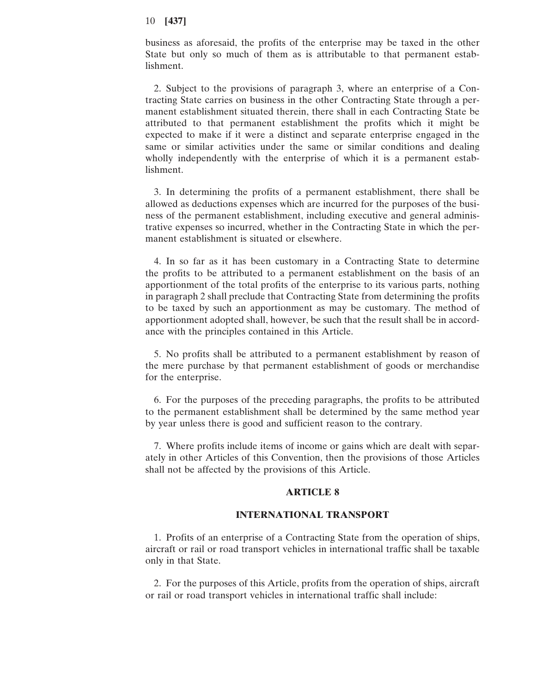business as aforesaid, the profits of the enterprise may be taxed in the other State but only so much of them as is attributable to that permanent establishment.

2. Subject to the provisions of paragraph 3, where an enterprise of a Contracting State carries on business in the other Contracting State through a permanent establishment situated therein, there shall in each Contracting State be attributed to that permanent establishment the profits which it might be expected to make if it were a distinct and separate enterprise engaged in the same or similar activities under the same or similar conditions and dealing wholly independently with the enterprise of which it is a permanent establishment.

3. In determining the profits of a permanent establishment, there shall be allowed as deductions expenses which are incurred for the purposes of the business of the permanent establishment, including executive and general administrative expenses so incurred, whether in the Contracting State in which the permanent establishment is situated or elsewhere.

4. In so far as it has been customary in a Contracting State to determine the profits to be attributed to a permanent establishment on the basis of an apportionment of the total profits of the enterprise to its various parts, nothing in paragraph 2 shall preclude that Contracting State from determining the profits to be taxed by such an apportionment as may be customary. The method of apportionment adopted shall, however, be such that the result shall be in accordance with the principles contained in this Article.

5. No profits shall be attributed to a permanent establishment by reason of the mere purchase by that permanent establishment of goods or merchandise for the enterprise.

6. For the purposes of the preceding paragraphs, the profits to be attributed to the permanent establishment shall be determined by the same method year by year unless there is good and sufficient reason to the contrary.

7. Where profits include items of income or gains which are dealt with separately in other Articles of this Convention, then the provisions of those Articles shall not be affected by the provisions of this Article.

## **ARTICLE 8**

# **INTERNATIONAL TRANSPORT**

1. Profits of an enterprise of a Contracting State from the operation of ships, aircraft or rail or road transport vehicles in international traffic shall be taxable only in that State.

2. For the purposes of this Article, profits from the operation of ships, aircraft or rail or road transport vehicles in international traffic shall include: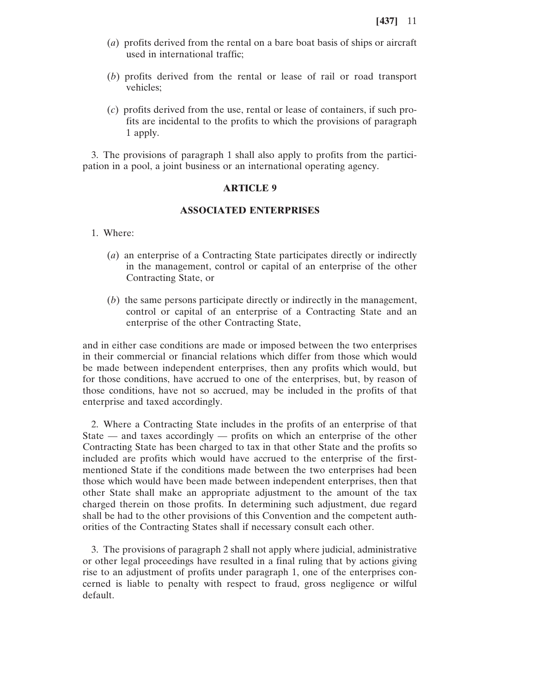- (*a*) profits derived from the rental on a bare boat basis of ships or aircraft used in international traffic;
- (*b*) profits derived from the rental or lease of rail or road transport vehicles;
- (*c*) profits derived from the use, rental or lease of containers, if such profits are incidental to the profits to which the provisions of paragraph 1 apply.

3. The provisions of paragraph 1 shall also apply to profits from the participation in a pool, a joint business or an international operating agency.

# **ARTICLE 9**

### **ASSOCIATED ENTERPRISES**

- 1. Where:
	- (*a*) an enterprise of a Contracting State participates directly or indirectly in the management, control or capital of an enterprise of the other Contracting State, or
	- (*b*) the same persons participate directly or indirectly in the management, control or capital of an enterprise of a Contracting State and an enterprise of the other Contracting State,

and in either case conditions are made or imposed between the two enterprises in their commercial or financial relations which differ from those which would be made between independent enterprises, then any profits which would, but for those conditions, have accrued to one of the enterprises, but, by reason of those conditions, have not so accrued, may be included in the profits of that enterprise and taxed accordingly.

2. Where a Contracting State includes in the profits of an enterprise of that State — and taxes accordingly — profits on which an enterprise of the other Contracting State has been charged to tax in that other State and the profits so included are profits which would have accrued to the enterprise of the firstmentioned State if the conditions made between the two enterprises had been those which would have been made between independent enterprises, then that other State shall make an appropriate adjustment to the amount of the tax charged therein on those profits. In determining such adjustment, due regard shall be had to the other provisions of this Convention and the competent authorities of the Contracting States shall if necessary consult each other.

3. The provisions of paragraph 2 shall not apply where judicial, administrative or other legal proceedings have resulted in a final ruling that by actions giving rise to an adjustment of profits under paragraph 1, one of the enterprises concerned is liable to penalty with respect to fraud, gross negligence or wilful default.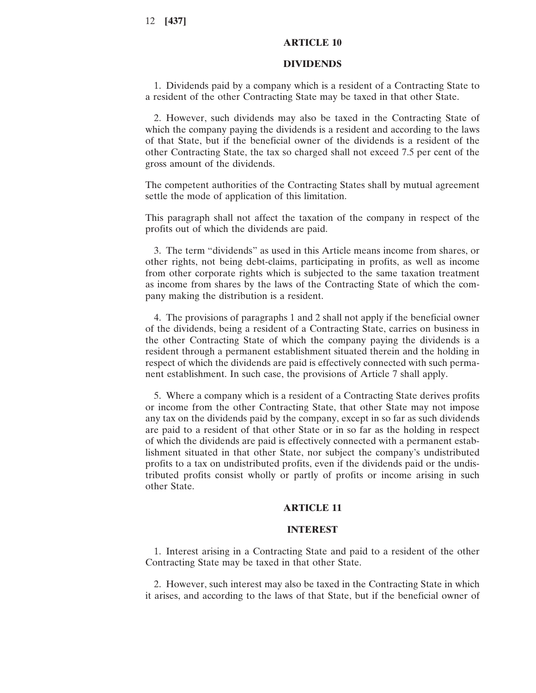## **ARTICLE 10**

#### **DIVIDENDS**

1. Dividends paid by a company which is a resident of a Contracting State to a resident of the other Contracting State may be taxed in that other State.

2. However, such dividends may also be taxed in the Contracting State of which the company paying the dividends is a resident and according to the laws of that State, but if the beneficial owner of the dividends is a resident of the other Contracting State, the tax so charged shall not exceed 7.5 per cent of the gross amount of the dividends.

The competent authorities of the Contracting States shall by mutual agreement settle the mode of application of this limitation.

This paragraph shall not affect the taxation of the company in respect of the profits out of which the dividends are paid.

3. The term "dividends" as used in this Article means income from shares, or other rights, not being debt-claims, participating in profits, as well as income from other corporate rights which is subjected to the same taxation treatment as income from shares by the laws of the Contracting State of which the company making the distribution is a resident.

4. The provisions of paragraphs 1 and 2 shall not apply if the beneficial owner of the dividends, being a resident of a Contracting State, carries on business in the other Contracting State of which the company paying the dividends is a resident through a permanent establishment situated therein and the holding in respect of which the dividends are paid is effectively connected with such permanent establishment. In such case, the provisions of Article 7 shall apply.

5. Where a company which is a resident of a Contracting State derives profits or income from the other Contracting State, that other State may not impose any tax on the dividends paid by the company, except in so far as such dividends are paid to a resident of that other State or in so far as the holding in respect of which the dividends are paid is effectively connected with a permanent establishment situated in that other State, nor subject the company's undistributed profits to a tax on undistributed profits, even if the dividends paid or the undistributed profits consist wholly or partly of profits or income arising in such other State.

# **ARTICLE 11**

#### **INTEREST**

1. Interest arising in a Contracting State and paid to a resident of the other Contracting State may be taxed in that other State.

2. However, such interest may also be taxed in the Contracting State in which it arises, and according to the laws of that State, but if the beneficial owner of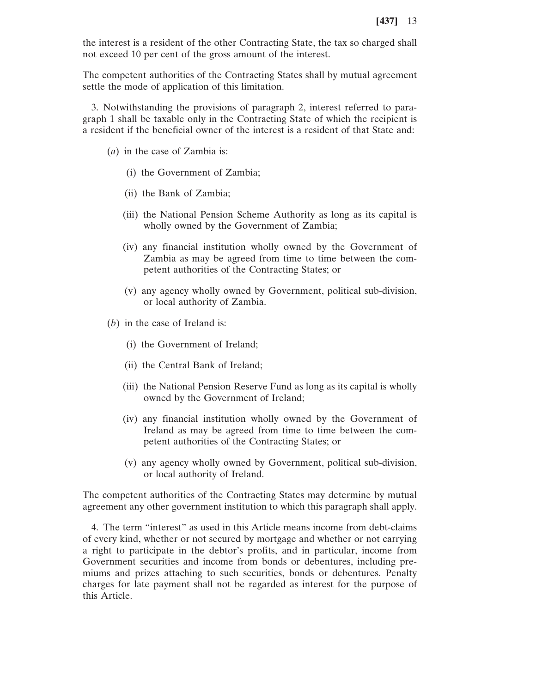the interest is a resident of the other Contracting State, the tax so charged shall not exceed 10 per cent of the gross amount of the interest.

The competent authorities of the Contracting States shall by mutual agreement settle the mode of application of this limitation.

3. Notwithstanding the provisions of paragraph 2, interest referred to paragraph 1 shall be taxable only in the Contracting State of which the recipient is a resident if the beneficial owner of the interest is a resident of that State and:

- (*a*) in the case of Zambia is:
	- (i) the Government of Zambia;
	- (ii) the Bank of Zambia;
	- (iii) the National Pension Scheme Authority as long as its capital is wholly owned by the Government of Zambia;
	- (iv) any financial institution wholly owned by the Government of Zambia as may be agreed from time to time between the competent authorities of the Contracting States; or
	- (v) any agency wholly owned by Government, political sub-division, or local authority of Zambia.
- (*b*) in the case of Ireland is:
	- (i) the Government of Ireland;
	- (ii) the Central Bank of Ireland;
	- (iii) the National Pension Reserve Fund as long as its capital is wholly owned by the Government of Ireland;
	- (iv) any financial institution wholly owned by the Government of Ireland as may be agreed from time to time between the competent authorities of the Contracting States; or
	- (v) any agency wholly owned by Government, political sub-division, or local authority of Ireland.

The competent authorities of the Contracting States may determine by mutual agreement any other government institution to which this paragraph shall apply.

4. The term "interest" as used in this Article means income from debt-claims of every kind, whether or not secured by mortgage and whether or not carrying a right to participate in the debtor's profits, and in particular, income from Government securities and income from bonds or debentures, including premiums and prizes attaching to such securities, bonds or debentures. Penalty charges for late payment shall not be regarded as interest for the purpose of this Article.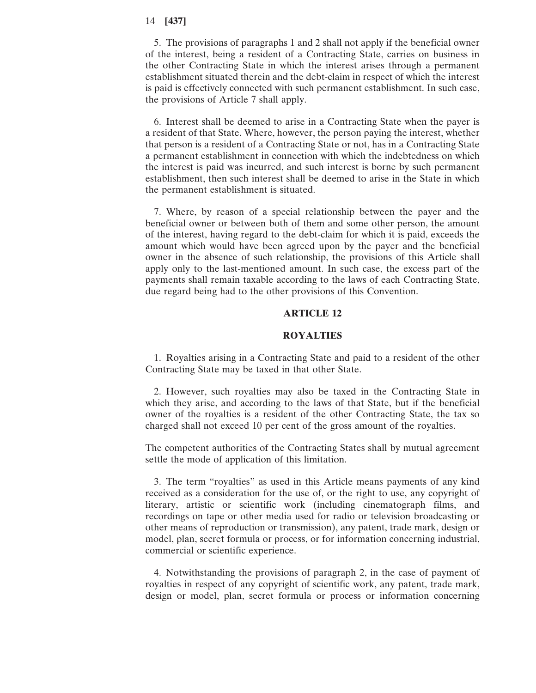5. The provisions of paragraphs 1 and 2 shall not apply if the beneficial owner of the interest, being a resident of a Contracting State, carries on business in the other Contracting State in which the interest arises through a permanent establishment situated therein and the debt-claim in respect of which the interest is paid is effectively connected with such permanent establishment. In such case, the provisions of Article 7 shall apply.

6. Interest shall be deemed to arise in a Contracting State when the payer is a resident of that State. Where, however, the person paying the interest, whether that person is a resident of a Contracting State or not, has in a Contracting State a permanent establishment in connection with which the indebtedness on which the interest is paid was incurred, and such interest is borne by such permanent establishment, then such interest shall be deemed to arise in the State in which the permanent establishment is situated.

7. Where, by reason of a special relationship between the payer and the beneficial owner or between both of them and some other person, the amount of the interest, having regard to the debt-claim for which it is paid, exceeds the amount which would have been agreed upon by the payer and the beneficial owner in the absence of such relationship, the provisions of this Article shall apply only to the last-mentioned amount. In such case, the excess part of the payments shall remain taxable according to the laws of each Contracting State, due regard being had to the other provisions of this Convention.

## **ARTICLE 12**

#### **ROYALTIES**

1. Royalties arising in a Contracting State and paid to a resident of the other Contracting State may be taxed in that other State.

2. However, such royalties may also be taxed in the Contracting State in which they arise, and according to the laws of that State, but if the beneficial owner of the royalties is a resident of the other Contracting State, the tax so charged shall not exceed 10 per cent of the gross amount of the royalties.

The competent authorities of the Contracting States shall by mutual agreement settle the mode of application of this limitation.

3. The term "royalties" as used in this Article means payments of any kind received as a consideration for the use of, or the right to use, any copyright of literary, artistic or scientific work (including cinematograph films, and recordings on tape or other media used for radio or television broadcasting or other means of reproduction or transmission), any patent, trade mark, design or model, plan, secret formula or process, or for information concerning industrial, commercial or scientific experience.

4. Notwithstanding the provisions of paragraph 2, in the case of payment of royalties in respect of any copyright of scientific work, any patent, trade mark, design or model, plan, secret formula or process or information concerning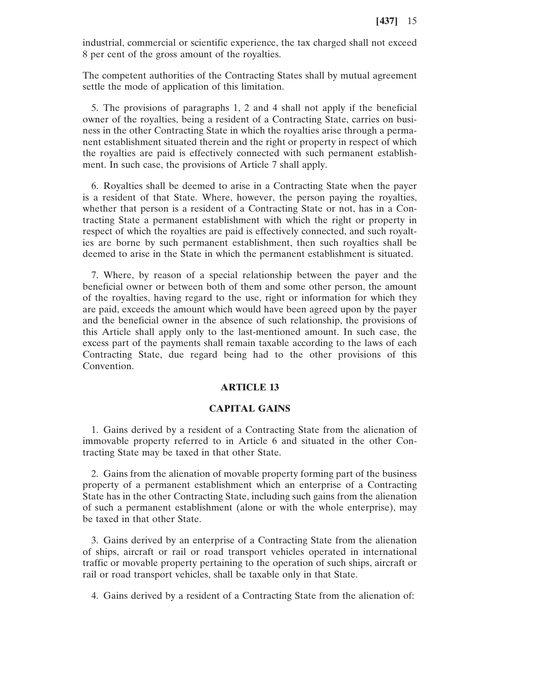industrial, commercial or scientific experience, the tax charged shall not exceed 8 per cent of the gross amount of the royalties.

The competent authorities of the Contracting States shall by mutual agreement settle the mode of application of this limitation.

5. The provisions of paragraphs 1, 2 and 4 shall not apply if the beneficial owner of the royalties, being a resident of a Contracting State, carries on business in the other Contracting State in which the royalties arise through a permanent establishment situated therein and the right or property in respect of which the royalties are paid is effectively connected with such permanent establishment. In such case, the provisions of Article 7 shall apply.

6. Royalties shall be deemed to arise in a Contracting State when the payer is a resident of that State. Where, however, the person paying the royalties, whether that person is a resident of a Contracting State or not, has in a Contracting State a permanent establishment with which the right or property in respect of which the royalties are paid is effectively connected, and such royalties are borne by such permanent establishment, then such royalties shall be deemed to arise in the State in which the permanent establishment is situated.

7. Where, by reason of a special relationship between the payer and the beneficial owner or between both of them and some other person, the amount of the royalties, having regard to the use, right or information for which they are paid, exceeds the amount which would have been agreed upon by the payer and the beneficial owner in the absence of such relationship, the provisions of this Article shall apply only to the last-mentioned amount. In such case, the excess part of the payments shall remain taxable according to the laws of each Contracting State, due regard being had to the other provisions of this Convention.

#### **ARTICLE 13**

#### **CAPITAL GAINS**

1. Gains derived by a resident of a Contracting State from the alienation of immovable property referred to in Article 6 and situated in the other Contracting State may be taxed in that other State.

2. Gains from the alienation of movable property forming part of the business property of a permanent establishment which an enterprise of a Contracting State has in the other Contracting State, including such gains from the alienation of such a permanent establishment (alone or with the whole enterprise), may be taxed in that other State.

3. Gains derived by an enterprise of a Contracting State from the alienation of ships, aircraft or rail or road transport vehicles operated in international traffic or movable property pertaining to the operation of such ships, aircraft or rail or road transport vehicles, shall be taxable only in that State.

4. Gains derived by a resident of a Contracting State from the alienation of: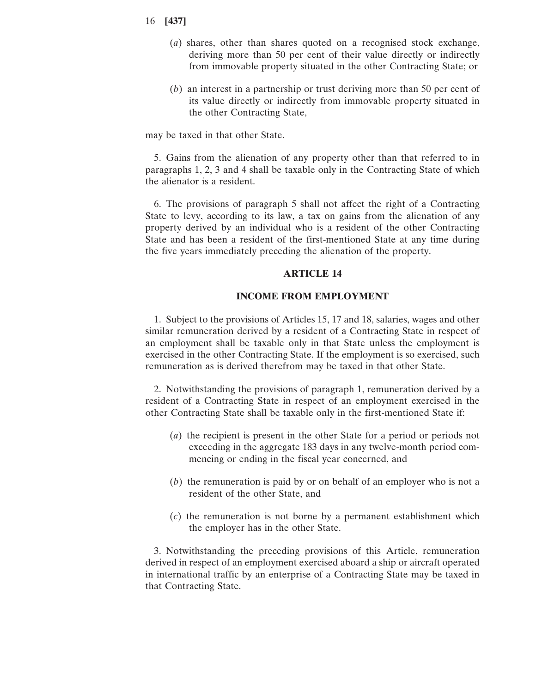- 16 **[437]**
	- (*a*) shares, other than shares quoted on a recognised stock exchange, deriving more than 50 per cent of their value directly or indirectly from immovable property situated in the other Contracting State; or
	- (*b*) an interest in a partnership or trust deriving more than 50 per cent of its value directly or indirectly from immovable property situated in the other Contracting State,

may be taxed in that other State.

5. Gains from the alienation of any property other than that referred to in paragraphs 1, 2, 3 and 4 shall be taxable only in the Contracting State of which the alienator is a resident.

6. The provisions of paragraph 5 shall not affect the right of a Contracting State to levy, according to its law, a tax on gains from the alienation of any property derived by an individual who is a resident of the other Contracting State and has been a resident of the first-mentioned State at any time during the five years immediately preceding the alienation of the property.

## **ARTICLE 14**

#### **INCOME FROM EMPLOYMENT**

1. Subject to the provisions of Articles 15, 17 and 18, salaries, wages and other similar remuneration derived by a resident of a Contracting State in respect of an employment shall be taxable only in that State unless the employment is exercised in the other Contracting State. If the employment is so exercised, such remuneration as is derived therefrom may be taxed in that other State.

2. Notwithstanding the provisions of paragraph 1, remuneration derived by a resident of a Contracting State in respect of an employment exercised in the other Contracting State shall be taxable only in the first-mentioned State if:

- (*a*) the recipient is present in the other State for a period or periods not exceeding in the aggregate 183 days in any twelve-month period commencing or ending in the fiscal year concerned, and
- (*b*) the remuneration is paid by or on behalf of an employer who is not a resident of the other State, and
- (*c*) the remuneration is not borne by a permanent establishment which the employer has in the other State.

3. Notwithstanding the preceding provisions of this Article, remuneration derived in respect of an employment exercised aboard a ship or aircraft operated in international traffic by an enterprise of a Contracting State may be taxed in that Contracting State.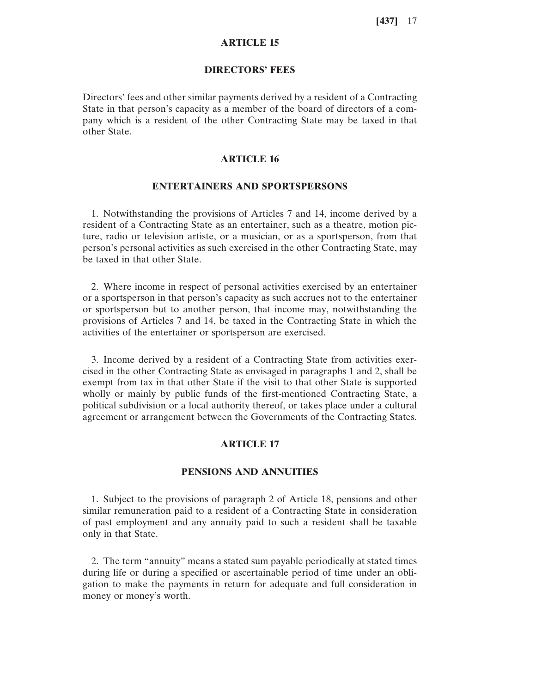# **ARTICLE 15**

# **DIRECTORS' FEES**

Directors' fees and other similar payments derived by a resident of a Contracting State in that person's capacity as a member of the board of directors of a company which is a resident of the other Contracting State may be taxed in that other State.

## **ARTICLE 16**

#### **ENTERTAINERS AND SPORTSPERSONS**

1. Notwithstanding the provisions of Articles 7 and 14, income derived by a resident of a Contracting State as an entertainer, such as a theatre, motion picture, radio or television artiste, or a musician, or as a sportsperson, from that person's personal activities as such exercised in the other Contracting State, may be taxed in that other State.

2. Where income in respect of personal activities exercised by an entertainer or a sportsperson in that person's capacity as such accrues not to the entertainer or sportsperson but to another person, that income may, notwithstanding the provisions of Articles 7 and 14, be taxed in the Contracting State in which the activities of the entertainer or sportsperson are exercised.

3. Income derived by a resident of a Contracting State from activities exercised in the other Contracting State as envisaged in paragraphs 1 and 2, shall be exempt from tax in that other State if the visit to that other State is supported wholly or mainly by public funds of the first-mentioned Contracting State, a political subdivision or a local authority thereof, or takes place under a cultural agreement or arrangement between the Governments of the Contracting States.

## **ARTICLE 17**

## **PENSIONS AND ANNUITIES**

1. Subject to the provisions of paragraph 2 of Article 18, pensions and other similar remuneration paid to a resident of a Contracting State in consideration of past employment and any annuity paid to such a resident shall be taxable only in that State.

2. The term "annuity" means a stated sum payable periodically at stated times during life or during a specified or ascertainable period of time under an obligation to make the payments in return for adequate and full consideration in money or money's worth.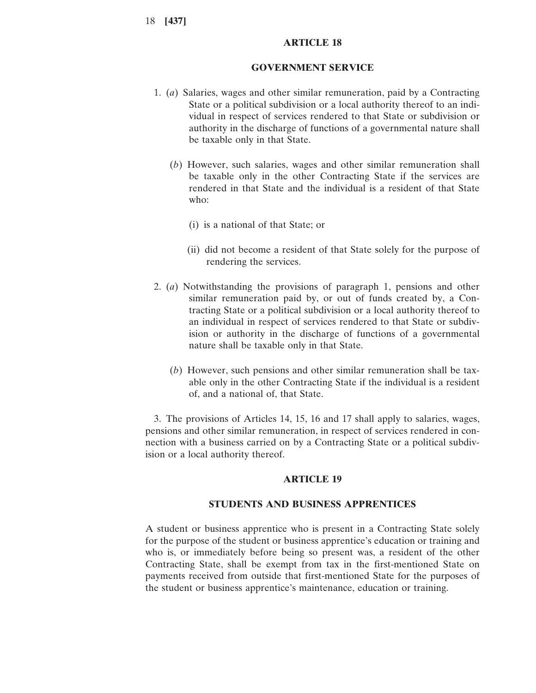# **ARTICLE 18**

## **GOVERNMENT SERVICE**

- 1. (*a*) Salaries, wages and other similar remuneration, paid by a Contracting State or a political subdivision or a local authority thereof to an individual in respect of services rendered to that State or subdivision or authority in the discharge of functions of a governmental nature shall be taxable only in that State.
	- (*b*) However, such salaries, wages and other similar remuneration shall be taxable only in the other Contracting State if the services are rendered in that State and the individual is a resident of that State who:
		- (i) is a national of that State; or
		- (ii) did not become a resident of that State solely for the purpose of rendering the services.
- 2. (*a*) Notwithstanding the provisions of paragraph 1, pensions and other similar remuneration paid by, or out of funds created by, a Contracting State or a political subdivision or a local authority thereof to an individual in respect of services rendered to that State or subdivision or authority in the discharge of functions of a governmental nature shall be taxable only in that State.
	- (*b*) However, such pensions and other similar remuneration shall be taxable only in the other Contracting State if the individual is a resident of, and a national of, that State.

3. The provisions of Articles 14, 15, 16 and 17 shall apply to salaries, wages, pensions and other similar remuneration, in respect of services rendered in connection with a business carried on by a Contracting State or a political subdivision or a local authority thereof.

## **ARTICLE 19**

#### **STUDENTS AND BUSINESS APPRENTICES**

A student or business apprentice who is present in a Contracting State solely for the purpose of the student or business apprentice's education or training and who is, or immediately before being so present was, a resident of the other Contracting State, shall be exempt from tax in the first-mentioned State on payments received from outside that first-mentioned State for the purposes of the student or business apprentice's maintenance, education or training.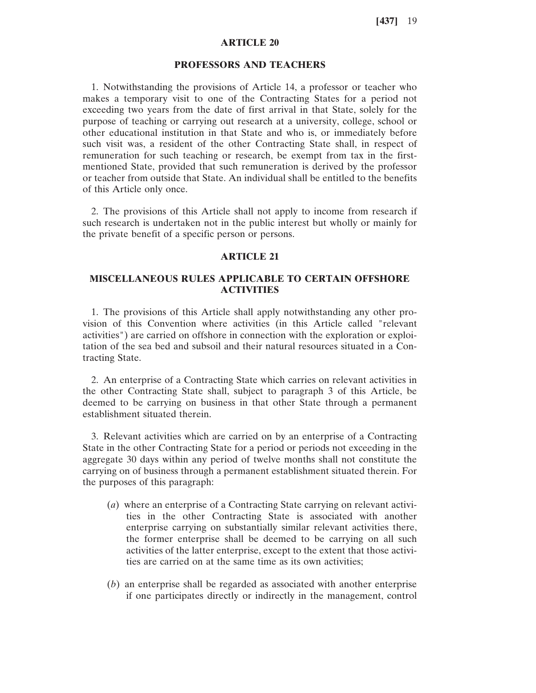# **ARTICLE 20**

## **PROFESSORS AND TEACHERS**

1. Notwithstanding the provisions of Article 14, a professor or teacher who makes a temporary visit to one of the Contracting States for a period not exceeding two years from the date of first arrival in that State, solely for the purpose of teaching or carrying out research at a university, college, school or other educational institution in that State and who is, or immediately before such visit was, a resident of the other Contracting State shall, in respect of remuneration for such teaching or research, be exempt from tax in the firstmentioned State, provided that such remuneration is derived by the professor or teacher from outside that State. An individual shall be entitled to the benefits of this Article only once.

2. The provisions of this Article shall not apply to income from research if such research is undertaken not in the public interest but wholly or mainly for the private benefit of a specific person or persons.

## **ARTICLE 21**

# **MISCELLANEOUS RULES APPLICABLE TO CERTAIN OFFSHORE ACTIVITIES**

1. The provisions of this Article shall apply notwithstanding any other provision of this Convention where activities (in this Article called "relevant activities") are carried on offshore in connection with the exploration or exploitation of the sea bed and subsoil and their natural resources situated in a Contracting State.

2. An enterprise of a Contracting State which carries on relevant activities in the other Contracting State shall, subject to paragraph 3 of this Article, be deemed to be carrying on business in that other State through a permanent establishment situated therein.

3. Relevant activities which are carried on by an enterprise of a Contracting State in the other Contracting State for a period or periods not exceeding in the aggregate 30 days within any period of twelve months shall not constitute the carrying on of business through a permanent establishment situated therein. For the purposes of this paragraph:

- (*a*) where an enterprise of a Contracting State carrying on relevant activities in the other Contracting State is associated with another enterprise carrying on substantially similar relevant activities there, the former enterprise shall be deemed to be carrying on all such activities of the latter enterprise, except to the extent that those activities are carried on at the same time as its own activities;
- (*b*) an enterprise shall be regarded as associated with another enterprise if one participates directly or indirectly in the management, control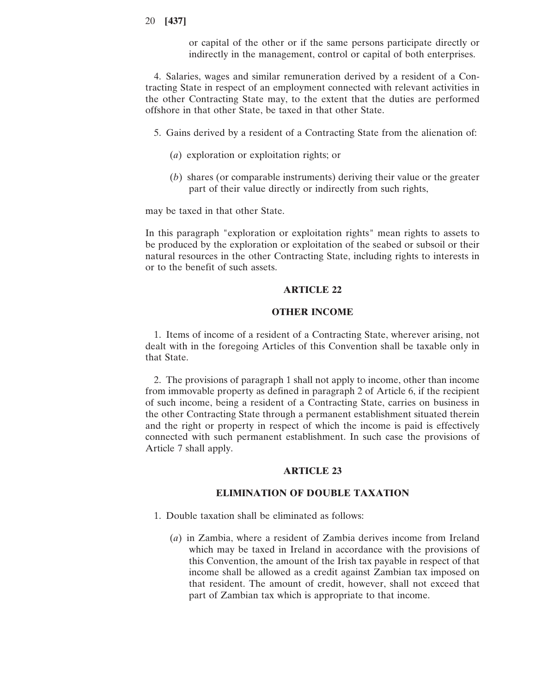or capital of the other or if the same persons participate directly or indirectly in the management, control or capital of both enterprises.

4. Salaries, wages and similar remuneration derived by a resident of a Contracting State in respect of an employment connected with relevant activities in the other Contracting State may, to the extent that the duties are performed offshore in that other State, be taxed in that other State.

- 5. Gains derived by a resident of a Contracting State from the alienation of:
	- (*a*) exploration or exploitation rights; or
	- (*b*) shares (or comparable instruments) deriving their value or the greater part of their value directly or indirectly from such rights,

may be taxed in that other State.

In this paragraph "exploration or exploitation rights" mean rights to assets to be produced by the exploration or exploitation of the seabed or subsoil or their natural resources in the other Contracting State, including rights to interests in or to the benefit of such assets.

# **ARTICLE 22**

## **OTHER INCOME**

1. Items of income of a resident of a Contracting State, wherever arising, not dealt with in the foregoing Articles of this Convention shall be taxable only in that State.

2. The provisions of paragraph 1 shall not apply to income, other than income from immovable property as defined in paragraph 2 of Article 6, if the recipient of such income, being a resident of a Contracting State, carries on business in the other Contracting State through a permanent establishment situated therein and the right or property in respect of which the income is paid is effectively connected with such permanent establishment. In such case the provisions of Article 7 shall apply.

#### **ARTICLE 23**

#### **ELIMINATION OF DOUBLE TAXATION**

- 1. Double taxation shall be eliminated as follows:
	- (*a*) in Zambia, where a resident of Zambia derives income from Ireland which may be taxed in Ireland in accordance with the provisions of this Convention, the amount of the Irish tax payable in respect of that income shall be allowed as a credit against Zambian tax imposed on that resident. The amount of credit, however, shall not exceed that part of Zambian tax which is appropriate to that income.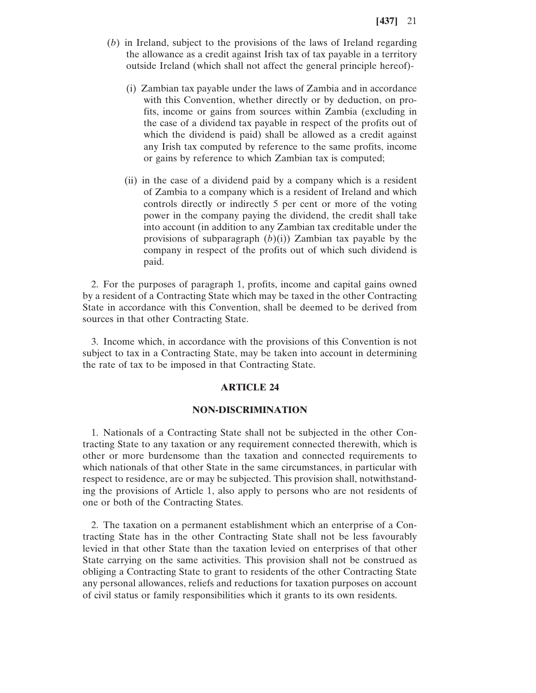- (*b*) in Ireland, subject to the provisions of the laws of Ireland regarding the allowance as a credit against Irish tax of tax payable in a territory outside Ireland (which shall not affect the general principle hereof)-
	- (i) Zambian tax payable under the laws of Zambia and in accordance with this Convention, whether directly or by deduction, on profits, income or gains from sources within Zambia (excluding in the case of a dividend tax payable in respect of the profits out of which the dividend is paid) shall be allowed as a credit against any Irish tax computed by reference to the same profits, income or gains by reference to which Zambian tax is computed;
	- (ii) in the case of a dividend paid by a company which is a resident of Zambia to a company which is a resident of Ireland and which controls directly or indirectly 5 per cent or more of the voting power in the company paying the dividend, the credit shall take into account (in addition to any Zambian tax creditable under the provisions of subparagraph  $(b)(i)$ ) Zambian tax payable by the company in respect of the profits out of which such dividend is paid.

2. For the purposes of paragraph 1, profits, income and capital gains owned by a resident of a Contracting State which may be taxed in the other Contracting State in accordance with this Convention, shall be deemed to be derived from sources in that other Contracting State.

3. Income which, in accordance with the provisions of this Convention is not subject to tax in a Contracting State, may be taken into account in determining the rate of tax to be imposed in that Contracting State.

# **ARTICLE 24**

# **NON-DISCRIMINATION**

1. Nationals of a Contracting State shall not be subjected in the other Contracting State to any taxation or any requirement connected therewith, which is other or more burdensome than the taxation and connected requirements to which nationals of that other State in the same circumstances, in particular with respect to residence, are or may be subjected. This provision shall, notwithstanding the provisions of Article 1, also apply to persons who are not residents of one or both of the Contracting States.

2. The taxation on a permanent establishment which an enterprise of a Contracting State has in the other Contracting State shall not be less favourably levied in that other State than the taxation levied on enterprises of that other State carrying on the same activities. This provision shall not be construed as obliging a Contracting State to grant to residents of the other Contracting State any personal allowances, reliefs and reductions for taxation purposes on account of civil status or family responsibilities which it grants to its own residents.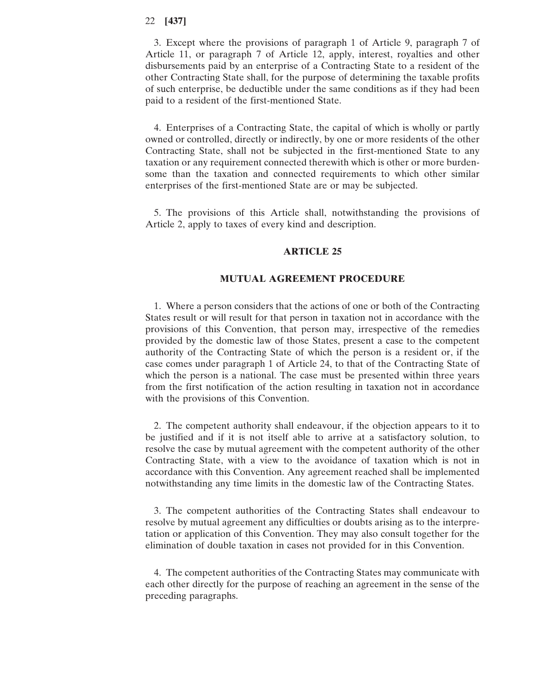3. Except where the provisions of paragraph 1 of Article 9, paragraph 7 of Article 11, or paragraph 7 of Article 12, apply, interest, royalties and other disbursements paid by an enterprise of a Contracting State to a resident of the other Contracting State shall, for the purpose of determining the taxable profits of such enterprise, be deductible under the same conditions as if they had been paid to a resident of the first-mentioned State.

4. Enterprises of a Contracting State, the capital of which is wholly or partly owned or controlled, directly or indirectly, by one or more residents of the other Contracting State, shall not be subjected in the first-mentioned State to any taxation or any requirement connected therewith which is other or more burdensome than the taxation and connected requirements to which other similar enterprises of the first-mentioned State are or may be subjected.

5. The provisions of this Article shall, notwithstanding the provisions of Article 2, apply to taxes of every kind and description.

#### **ARTICLE 25**

#### **MUTUAL AGREEMENT PROCEDURE**

1. Where a person considers that the actions of one or both of the Contracting States result or will result for that person in taxation not in accordance with the provisions of this Convention, that person may, irrespective of the remedies provided by the domestic law of those States, present a case to the competent authority of the Contracting State of which the person is a resident or, if the case comes under paragraph 1 of Article 24, to that of the Contracting State of which the person is a national. The case must be presented within three years from the first notification of the action resulting in taxation not in accordance with the provisions of this Convention.

2. The competent authority shall endeavour, if the objection appears to it to be justified and if it is not itself able to arrive at a satisfactory solution, to resolve the case by mutual agreement with the competent authority of the other Contracting State, with a view to the avoidance of taxation which is not in accordance with this Convention. Any agreement reached shall be implemented notwithstanding any time limits in the domestic law of the Contracting States.

3. The competent authorities of the Contracting States shall endeavour to resolve by mutual agreement any difficulties or doubts arising as to the interpretation or application of this Convention. They may also consult together for the elimination of double taxation in cases not provided for in this Convention.

4. The competent authorities of the Contracting States may communicate with each other directly for the purpose of reaching an agreement in the sense of the preceding paragraphs.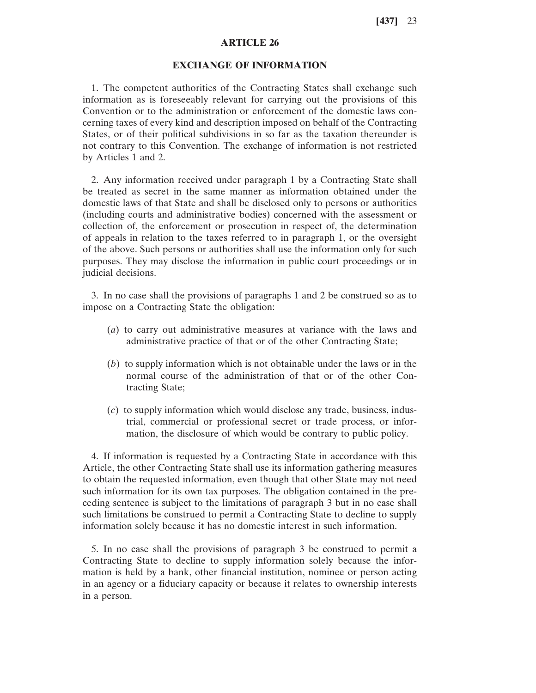# **ARTICLE 26**

# **EXCHANGE OF INFORMATION**

1. The competent authorities of the Contracting States shall exchange such information as is foreseeably relevant for carrying out the provisions of this Convention or to the administration or enforcement of the domestic laws concerning taxes of every kind and description imposed on behalf of the Contracting States, or of their political subdivisions in so far as the taxation thereunder is not contrary to this Convention. The exchange of information is not restricted by Articles 1 and 2.

2. Any information received under paragraph 1 by a Contracting State shall be treated as secret in the same manner as information obtained under the domestic laws of that State and shall be disclosed only to persons or authorities (including courts and administrative bodies) concerned with the assessment or collection of, the enforcement or prosecution in respect of, the determination of appeals in relation to the taxes referred to in paragraph 1, or the oversight of the above. Such persons or authorities shall use the information only for such purposes. They may disclose the information in public court proceedings or in judicial decisions.

3. In no case shall the provisions of paragraphs 1 and 2 be construed so as to impose on a Contracting State the obligation:

- (*a*) to carry out administrative measures at variance with the laws and administrative practice of that or of the other Contracting State;
- (*b*) to supply information which is not obtainable under the laws or in the normal course of the administration of that or of the other Contracting State;
- (*c*) to supply information which would disclose any trade, business, industrial, commercial or professional secret or trade process, or information, the disclosure of which would be contrary to public policy.

4. If information is requested by a Contracting State in accordance with this Article, the other Contracting State shall use its information gathering measures to obtain the requested information, even though that other State may not need such information for its own tax purposes. The obligation contained in the preceding sentence is subject to the limitations of paragraph 3 but in no case shall such limitations be construed to permit a Contracting State to decline to supply information solely because it has no domestic interest in such information.

5. In no case shall the provisions of paragraph 3 be construed to permit a Contracting State to decline to supply information solely because the information is held by a bank, other financial institution, nominee or person acting in an agency or a fiduciary capacity or because it relates to ownership interests in a person.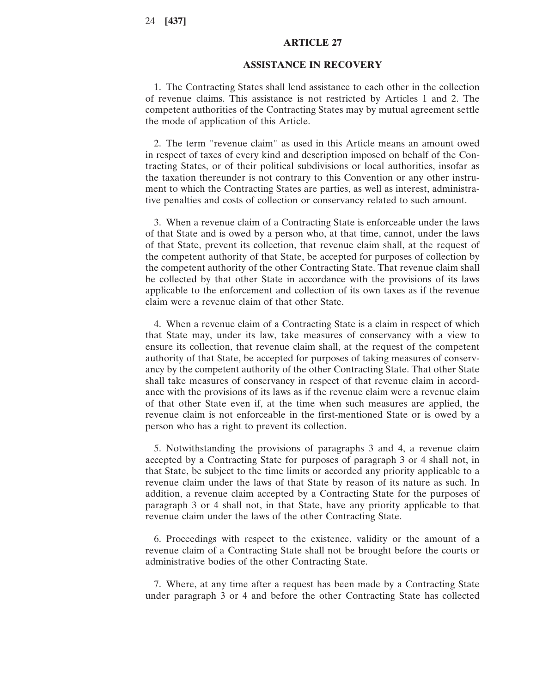## **ARTICLE 27**

#### **ASSISTANCE IN RECOVERY**

1. The Contracting States shall lend assistance to each other in the collection of revenue claims. This assistance is not restricted by Articles 1 and 2. The competent authorities of the Contracting States may by mutual agreement settle the mode of application of this Article.

2. The term "revenue claim" as used in this Article means an amount owed in respect of taxes of every kind and description imposed on behalf of the Contracting States, or of their political subdivisions or local authorities, insofar as the taxation thereunder is not contrary to this Convention or any other instrument to which the Contracting States are parties, as well as interest, administrative penalties and costs of collection or conservancy related to such amount.

3. When a revenue claim of a Contracting State is enforceable under the laws of that State and is owed by a person who, at that time, cannot, under the laws of that State, prevent its collection, that revenue claim shall, at the request of the competent authority of that State, be accepted for purposes of collection by the competent authority of the other Contracting State. That revenue claim shall be collected by that other State in accordance with the provisions of its laws applicable to the enforcement and collection of its own taxes as if the revenue claim were a revenue claim of that other State.

4. When a revenue claim of a Contracting State is a claim in respect of which that State may, under its law, take measures of conservancy with a view to ensure its collection, that revenue claim shall, at the request of the competent authority of that State, be accepted for purposes of taking measures of conservancy by the competent authority of the other Contracting State. That other State shall take measures of conservancy in respect of that revenue claim in accordance with the provisions of its laws as if the revenue claim were a revenue claim of that other State even if, at the time when such measures are applied, the revenue claim is not enforceable in the first-mentioned State or is owed by a person who has a right to prevent its collection.

5. Notwithstanding the provisions of paragraphs 3 and 4, a revenue claim accepted by a Contracting State for purposes of paragraph 3 or 4 shall not, in that State, be subject to the time limits or accorded any priority applicable to a revenue claim under the laws of that State by reason of its nature as such. In addition, a revenue claim accepted by a Contracting State for the purposes of paragraph 3 or 4 shall not, in that State, have any priority applicable to that revenue claim under the laws of the other Contracting State.

6. Proceedings with respect to the existence, validity or the amount of a revenue claim of a Contracting State shall not be brought before the courts or administrative bodies of the other Contracting State.

7. Where, at any time after a request has been made by a Contracting State under paragraph 3 or 4 and before the other Contracting State has collected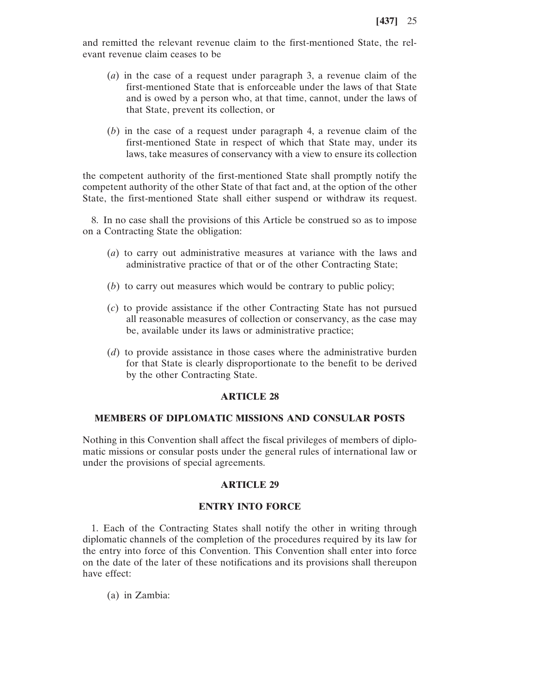and remitted the relevant revenue claim to the first-mentioned State, the relevant revenue claim ceases to be

- (*a*) in the case of a request under paragraph 3, a revenue claim of the first-mentioned State that is enforceable under the laws of that State and is owed by a person who, at that time, cannot, under the laws of that State, prevent its collection, or
- (*b*) in the case of a request under paragraph 4, a revenue claim of the first-mentioned State in respect of which that State may, under its laws, take measures of conservancy with a view to ensure its collection

the competent authority of the first-mentioned State shall promptly notify the competent authority of the other State of that fact and, at the option of the other State, the first-mentioned State shall either suspend or withdraw its request.

8. In no case shall the provisions of this Article be construed so as to impose on a Contracting State the obligation:

- (*a*) to carry out administrative measures at variance with the laws and administrative practice of that or of the other Contracting State;
- (*b*) to carry out measures which would be contrary to public policy;
- (*c*) to provide assistance if the other Contracting State has not pursued all reasonable measures of collection or conservancy, as the case may be, available under its laws or administrative practice;
- (*d*) to provide assistance in those cases where the administrative burden for that State is clearly disproportionate to the benefit to be derived by the other Contracting State.

# **ARTICLE 28**

# **MEMBERS OF DIPLOMATIC MISSIONS AND CONSULAR POSTS**

Nothing in this Convention shall affect the fiscal privileges of members of diplomatic missions or consular posts under the general rules of international law or under the provisions of special agreements.

## **ARTICLE 29**

## **ENTRY INTO FORCE**

1. Each of the Contracting States shall notify the other in writing through diplomatic channels of the completion of the procedures required by its law for the entry into force of this Convention. This Convention shall enter into force on the date of the later of these notifications and its provisions shall thereupon have effect:

(a) in Zambia: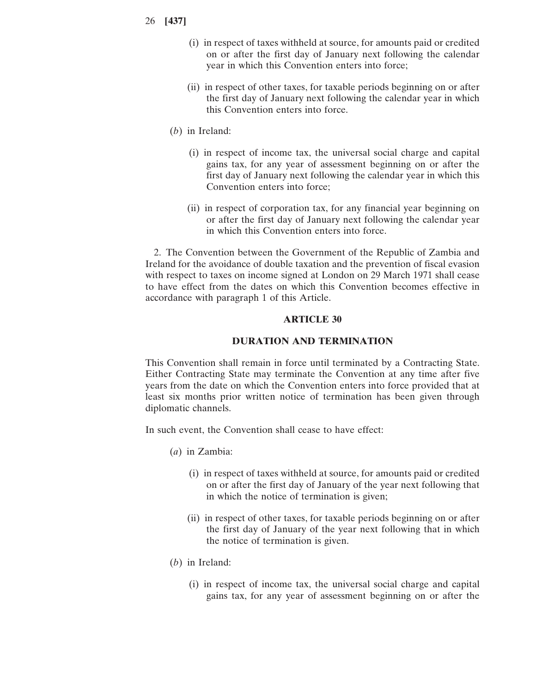- 26 **[437]**
	- (i) in respect of taxes withheld at source, for amounts paid or credited on or after the first day of January next following the calendar year in which this Convention enters into force;
	- (ii) in respect of other taxes, for taxable periods beginning on or after the first day of January next following the calendar year in which this Convention enters into force.
	- (*b*) in Ireland:
		- (i) in respect of income tax, the universal social charge and capital gains tax, for any year of assessment beginning on or after the first day of January next following the calendar year in which this Convention enters into force;
		- (ii) in respect of corporation tax, for any financial year beginning on or after the first day of January next following the calendar year in which this Convention enters into force.

2. The Convention between the Government of the Republic of Zambia and Ireland for the avoidance of double taxation and the prevention of fiscal evasion with respect to taxes on income signed at London on 29 March 1971 shall cease to have effect from the dates on which this Convention becomes effective in accordance with paragraph 1 of this Article.

## **ARTICLE 30**

# **DURATION AND TERMINATION**

This Convention shall remain in force until terminated by a Contracting State. Either Contracting State may terminate the Convention at any time after five years from the date on which the Convention enters into force provided that at least six months prior written notice of termination has been given through diplomatic channels.

In such event, the Convention shall cease to have effect:

- (*a*) in Zambia:
	- (i) in respect of taxes withheld at source, for amounts paid or credited on or after the first day of January of the year next following that in which the notice of termination is given;
	- (ii) in respect of other taxes, for taxable periods beginning on or after the first day of January of the year next following that in which the notice of termination is given.
- (*b*) in Ireland:
	- (i) in respect of income tax, the universal social charge and capital gains tax, for any year of assessment beginning on or after the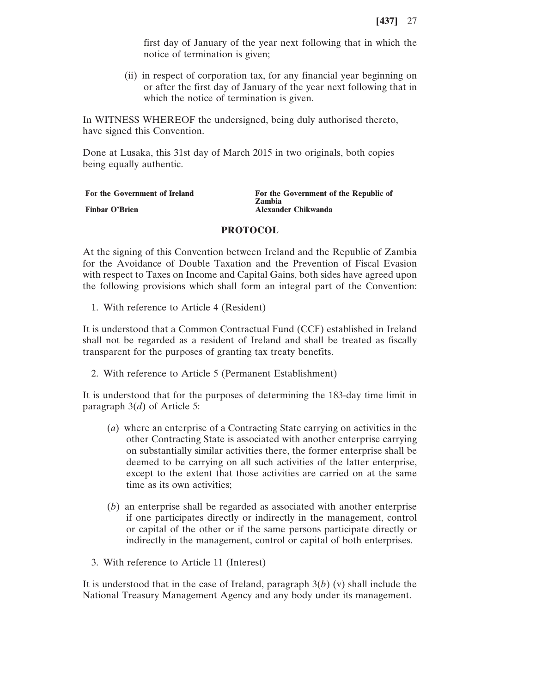first day of January of the year next following that in which the notice of termination is given;

(ii) in respect of corporation tax, for any financial year beginning on or after the first day of January of the year next following that in which the notice of termination is given.

In WITNESS WHEREOF the undersigned, being duly authorised thereto, have signed this Convention.

Done at Lusaka, this 31st day of March 2015 in two originals, both copies being equally authentic.

| For the Government of Ireland | For the Government of the Republic of |
|-------------------------------|---------------------------------------|
| <b>Finbar O'Brien</b>         | Zambia<br><b>Alexander Chikwanda</b>  |

## **PROTOCOL**

At the signing of this Convention between Ireland and the Republic of Zambia for the Avoidance of Double Taxation and the Prevention of Fiscal Evasion with respect to Taxes on Income and Capital Gains, both sides have agreed upon the following provisions which shall form an integral part of the Convention:

1. With reference to Article 4 (Resident)

It is understood that a Common Contractual Fund (CCF) established in Ireland shall not be regarded as a resident of Ireland and shall be treated as fiscally transparent for the purposes of granting tax treaty benefits.

2. With reference to Article 5 (Permanent Establishment)

It is understood that for the purposes of determining the 183-day time limit in paragraph 3(*d*) of Article 5:

- (*a*) where an enterprise of a Contracting State carrying on activities in the other Contracting State is associated with another enterprise carrying on substantially similar activities there, the former enterprise shall be deemed to be carrying on all such activities of the latter enterprise, except to the extent that those activities are carried on at the same time as its own activities;
- (*b*) an enterprise shall be regarded as associated with another enterprise if one participates directly or indirectly in the management, control or capital of the other or if the same persons participate directly or indirectly in the management, control or capital of both enterprises.
- 3. With reference to Article 11 (Interest)

It is understood that in the case of Ireland, paragraph 3(*b*) (v) shall include the National Treasury Management Agency and any body under its management.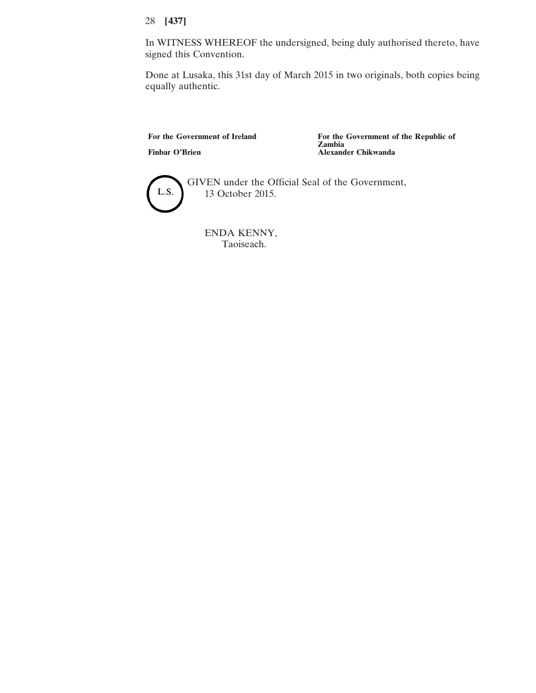In WITNESS WHEREOF the undersigned, being duly authorised thereto, have signed this Convention.

Done at Lusaka, this 31st day of March 2015 in two originals, both copies being equally authentic.

For the Government of Ireland For the Government of the Republic of **Zambia Finbar O'Brien Alexander Chikwanda** GIVEN under the Official Seal of the Government, L.S. 13 October 2015.

ENDA KENNY, Taoiseach.